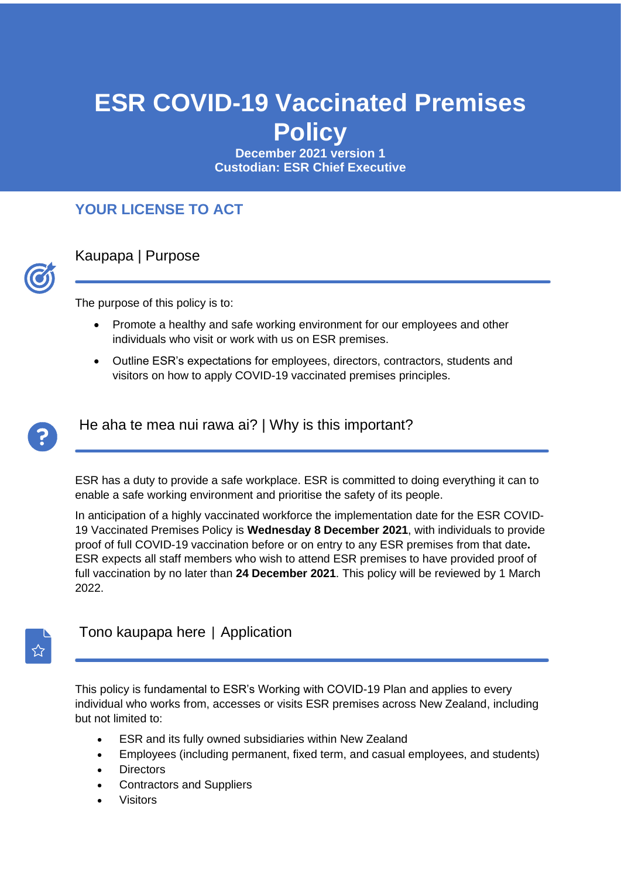# **ESR COVID-19 Vaccinated Premises Policy**

**December 2021 version 1 Custodian: ESR Chief Executive**

#### **YOUR LICENSE TO ACT**



Kaupapa | Purpose

The purpose of this policy is to:

- Promote a healthy and safe working environment for our employees and other individuals who visit or work with us on ESR premises.
- Outline ESR's expectations for employees, directors, contractors, students and visitors on how to apply COVID-19 vaccinated premises principles.



He aha te mea nui rawa ai? | Why is this important?

ESR has a duty to provide a safe workplace. ESR is committed to doing everything it can to enable a safe working environment and prioritise the safety of its people.

In anticipation of a highly vaccinated workforce the implementation date for the ESR COVID-19 Vaccinated Premises Policy is **Wednesday 8 December 2021**, with individuals to provide proof of full COVID-19 vaccination before or on entry to any ESR premises from that date**.** ESR expects all staff members who wish to attend ESR premises to have provided proof of full vaccination by no later than **24 December 2021**. This policy will be reviewed by 1 March 2022.



#### Tono kaupapa here | Application

This policy is fundamental to ESR's Working with COVID-19 Plan and applies to every individual who works from, accesses or visits ESR premises across New Zealand, including but not limited to:

- ESR and its fully owned subsidiaries within New Zealand
- Employees (including permanent, fixed term, and casual employees, and students)
- Directors
- Contractors and Suppliers
- **Visitors**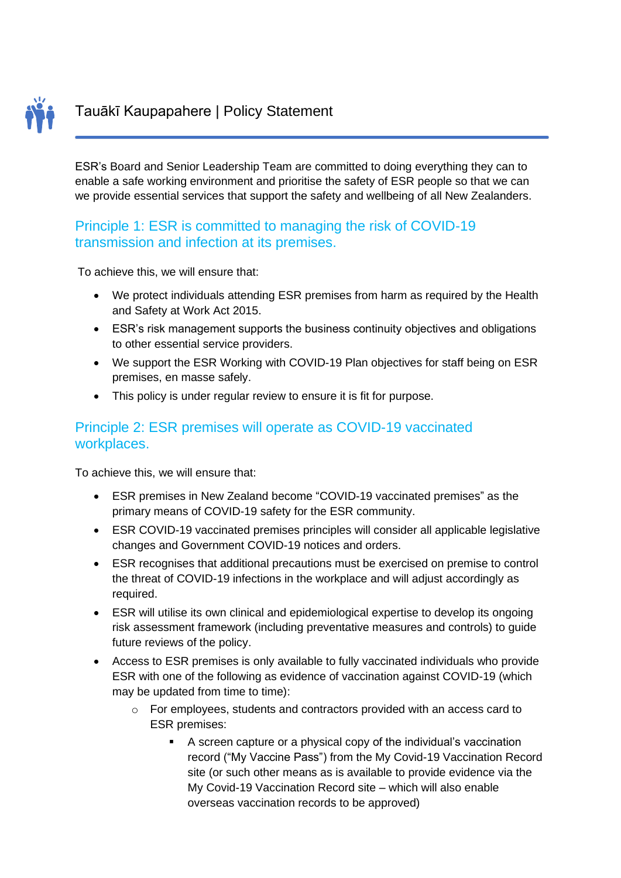

ESR's Board and Senior Leadership Team are committed to doing everything they can to enable a safe working environment and prioritise the safety of ESR people so that we can we provide essential services that support the safety and wellbeing of all New Zealanders.

#### Principle 1: ESR is committed to managing the risk of COVID-19 transmission and infection at its premises.

To achieve this, we will ensure that:

- We protect individuals attending ESR premises from harm as required by the Health and Safety at Work Act 2015.
- ESR's risk management supports the business continuity objectives and obligations to other essential service providers.
- We support the ESR Working with COVID-19 Plan objectives for staff being on ESR premises, en masse safely.
- This policy is under regular review to ensure it is fit for purpose.

#### Principle 2: ESR premises will operate as COVID-19 vaccinated workplaces.

To achieve this, we will ensure that:

- ESR premises in New Zealand become "COVID-19 vaccinated premises" as the primary means of COVID-19 safety for the ESR community.
- ESR COVID-19 vaccinated premises principles will consider all applicable legislative changes and Government COVID-19 notices and orders.
- ESR recognises that additional precautions must be exercised on premise to control the threat of COVID-19 infections in the workplace and will adjust accordingly as required.
- ESR will utilise its own clinical and epidemiological expertise to develop its ongoing risk assessment framework (including preventative measures and controls) to guide future reviews of the policy.
- Access to ESR premises is only available to fully vaccinated individuals who provide ESR with one of the following as evidence of vaccination against COVID-19 (which may be updated from time to time):
	- o For employees, students and contractors provided with an access card to ESR premises:
		- A screen capture or a physical copy of the individual's vaccination record ("My Vaccine Pass") from the My Covid-19 Vaccination Record site (or such other means as is available to provide evidence via the My Covid-19 Vaccination Record site – which will also enable overseas vaccination records to be approved)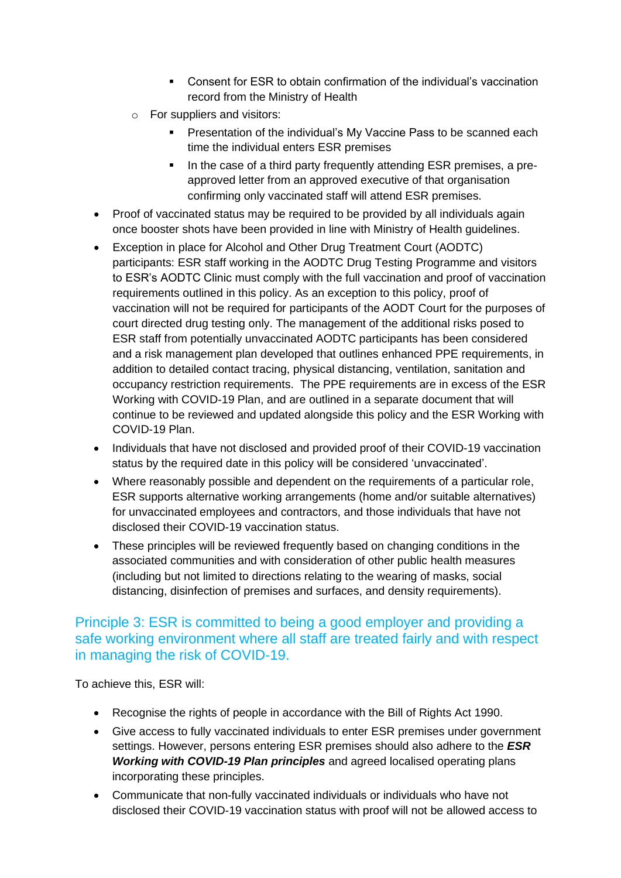- Consent for ESR to obtain confirmation of the individual's vaccination record from the Ministry of Health
- o For suppliers and visitors:
	- **Presentation of the individual's My Vaccine Pass to be scanned each** time the individual enters ESR premises
	- **•** In the case of a third party frequently attending ESR premises, a preapproved letter from an approved executive of that organisation confirming only vaccinated staff will attend ESR premises.
- Proof of vaccinated status may be required to be provided by all individuals again once booster shots have been provided in line with Ministry of Health guidelines.
- Exception in place for Alcohol and Other Drug Treatment Court (AODTC) participants: ESR staff working in the AODTC Drug Testing Programme and visitors to ESR's AODTC Clinic must comply with the full vaccination and proof of vaccination requirements outlined in this policy. As an exception to this policy, proof of vaccination will not be required for participants of the AODT Court for the purposes of court directed drug testing only. The management of the additional risks posed to ESR staff from potentially unvaccinated AODTC participants has been considered and a risk management plan developed that outlines enhanced PPE requirements, in addition to detailed contact tracing, physical distancing, ventilation, sanitation and occupancy restriction requirements. The PPE requirements are in excess of the ESR Working with COVID-19 Plan, and are outlined in a separate document that will continue to be reviewed and updated alongside this policy and the ESR Working with COVID-19 Plan.
- Individuals that have not disclosed and provided proof of their COVID-19 vaccination status by the required date in this policy will be considered 'unvaccinated'.
- Where reasonably possible and dependent on the requirements of a particular role, ESR supports alternative working arrangements (home and/or suitable alternatives) for unvaccinated employees and contractors, and those individuals that have not disclosed their COVID-19 vaccination status.
- These principles will be reviewed frequently based on changing conditions in the associated communities and with consideration of other public health measures (including but not limited to directions relating to the wearing of masks, social distancing, disinfection of premises and surfaces, and density requirements).

#### Principle 3: ESR is committed to being a good employer and providing a safe working environment where all staff are treated fairly and with respect in managing the risk of COVID-19.

To achieve this, ESR will:

- Recognise the rights of people in accordance with the Bill of Rights Act 1990.
- Give access to fully vaccinated individuals to enter ESR premises under government settings. However, persons entering ESR premises should also adhere to the *ESR Working with COVID-19 Plan principles* and agreed localised operating plans incorporating these principles.
- Communicate that non-fully vaccinated individuals or individuals who have not disclosed their COVID-19 vaccination status with proof will not be allowed access to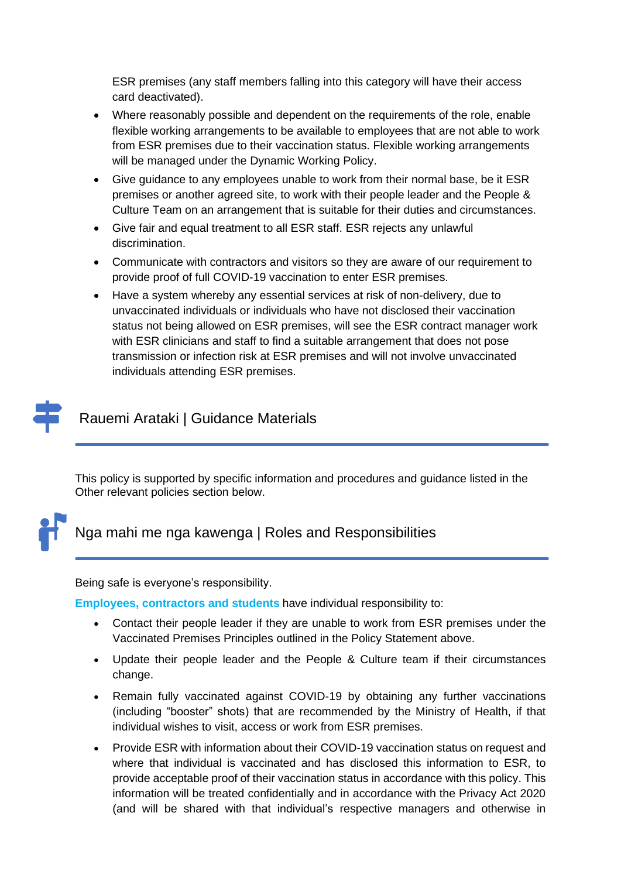ESR premises (any staff members falling into this category will have their access card deactivated).

- Where reasonably possible and dependent on the requirements of the role, enable flexible working arrangements to be available to employees that are not able to work from ESR premises due to their vaccination status. Flexible working arrangements will be managed under the Dynamic Working Policy.
- Give guidance to any employees unable to work from their normal base, be it ESR premises or another agreed site, to work with their people leader and the People & Culture Team on an arrangement that is suitable for their duties and circumstances.
- Give fair and equal treatment to all ESR staff. ESR rejects any unlawful discrimination.
- Communicate with contractors and visitors so they are aware of our requirement to provide proof of full COVID-19 vaccination to enter ESR premises.
- Have a system whereby any essential services at risk of non-delivery, due to unvaccinated individuals or individuals who have not disclosed their vaccination status not being allowed on ESR premises, will see the ESR contract manager work with ESR clinicians and staff to find a suitable arrangement that does not pose transmission or infection risk at ESR premises and will not involve unvaccinated individuals attending ESR premises.

## Rauemi Arataki | Guidance Materials

This policy is supported by specific information and procedures and guidance listed in the Other relevant policies section below.



#### Nga mahi me nga kawenga | Roles and Responsibilities

Being safe is everyone's responsibility.

**Employees, contractors and students** have individual responsibility to:

- Contact their people leader if they are unable to work from ESR premises under the Vaccinated Premises Principles outlined in the Policy Statement above.
- Update their people leader and the People & Culture team if their circumstances change.
- Remain fully vaccinated against COVID-19 by obtaining any further vaccinations (including "booster" shots) that are recommended by the Ministry of Health, if that individual wishes to visit, access or work from ESR premises.
- Provide ESR with information about their COVID-19 vaccination status on request and where that individual is vaccinated and has disclosed this information to ESR, to provide acceptable proof of their vaccination status in accordance with this policy. This information will be treated confidentially and in accordance with the Privacy Act 2020 (and will be shared with that individual's respective managers and otherwise in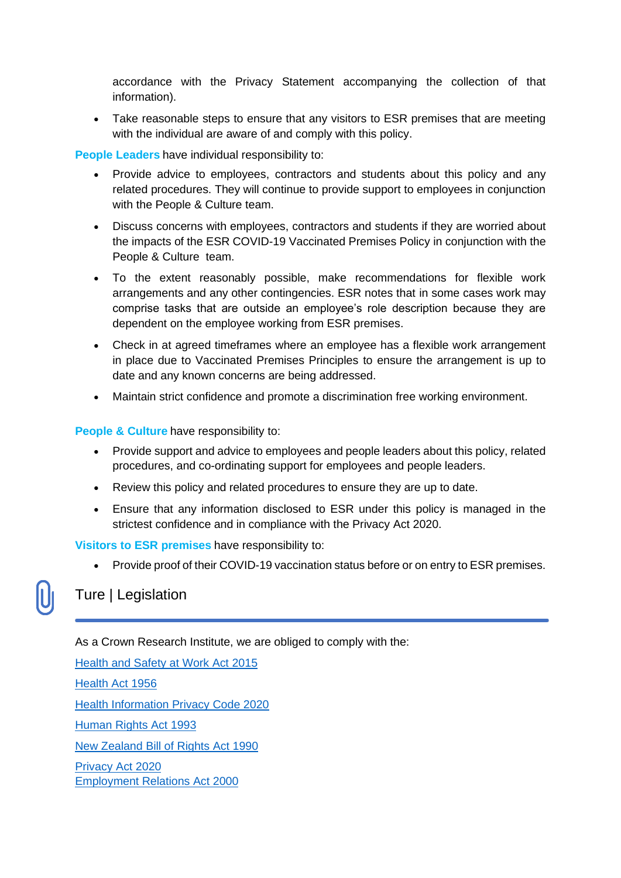accordance with the Privacy Statement accompanying the collection of that information).

• Take reasonable steps to ensure that any visitors to ESR premises that are meeting with the individual are aware of and comply with this policy.

**People Leaders** have individual responsibility to:

- Provide advice to employees, contractors and students about this policy and any related procedures. They will continue to provide support to employees in conjunction with the People & Culture team.
- Discuss concerns with employees, contractors and students if they are worried about the impacts of the ESR COVID-19 Vaccinated Premises Policy in conjunction with the People & Culture team.
- To the extent reasonably possible, make recommendations for flexible work arrangements and any other contingencies. ESR notes that in some cases work may comprise tasks that are outside an employee's role description because they are dependent on the employee working from ESR premises.
- Check in at agreed timeframes where an employee has a flexible work arrangement in place due to Vaccinated Premises Principles to ensure the arrangement is up to date and any known concerns are being addressed.
- Maintain strict confidence and promote a discrimination free working environment.

**People & Culture** have responsibility to:

- Provide support and advice to employees and people leaders about this policy, related procedures, and co-ordinating support for employees and people leaders.
- Review this policy and related procedures to ensure they are up to date.
- Ensure that any information disclosed to ESR under this policy is managed in the strictest confidence and in compliance with the Privacy Act 2020.

**Visitors to ESR premises** have responsibility to:

• Provide proof of their COVID-19 vaccination status before or on entry to ESR premises.

#### Ture | Legislation

As a Crown Research Institute, we are obliged to comply with the:

[Health and Safety at Work Act 2015](https://www.legislation.govt.nz/act/public/2015/0070/latest/DLM5976660.html) [Health Act 1956](https://www.legislation.govt.nz/act/public/1956/0065/latest/whole.html) [Health Information Privacy Code 2020](https://www.privacy.org.nz/privacy-act-2020/codes-of-practice/hipc2020/) [Human Rights Act 1993](https://www.legislation.govt.nz/act/public/1993/0082/latest/DLM304212.html) [New Zealand Bill of Rights Act 1990](https://www.legislation.govt.nz/act/public/1990/0109/latest/DLM224792.html) [Privacy Act 2020](https://www.legislation.govt.nz/act/public/2020/0031/latest/LMS23223.html) Employment Relations Act 2000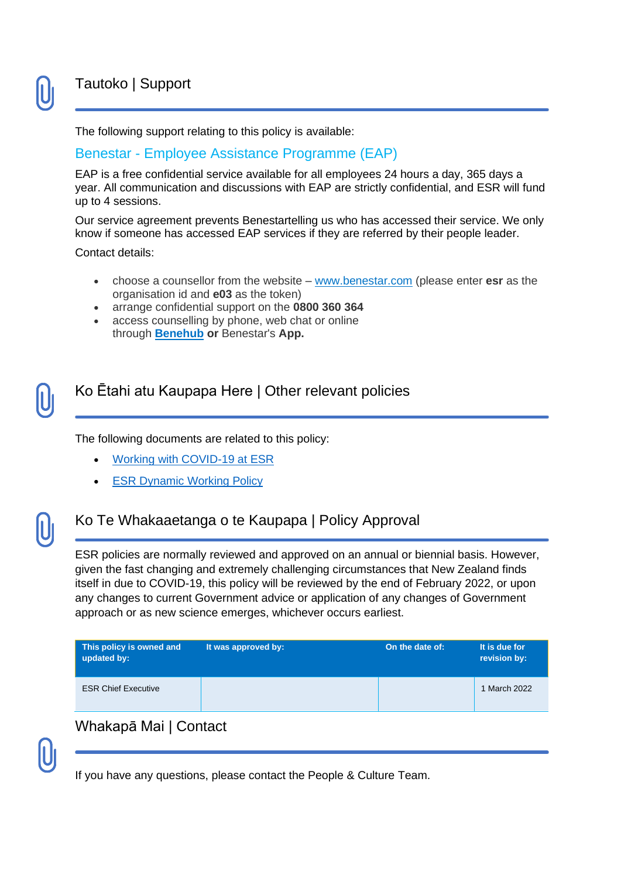### Tautoko | Support

The following support relating to this policy is available:

#### Benestar - Employee Assistance Programme (EAP)

EAP is a free confidential service available for all employees 24 hours a day, 365 days a year. All communication and discussions with EAP are strictly confidential, and ESR will fund up to 4 sessions.

Our service agreement prevents Benestartelling us who has accessed their service. We only know if someone has accessed EAP services if they are referred by their people leader.

Contact details:

- choose a counsellor from the website [www.benestar.com](http://www.benestar.com/) (please enter **esr** as the organisation id and **e03** as the token)
- arrange confidential support on the **0800 360 364**
- access counselling by phone, web chat or online through **[Benehub](https://www.benestar.com/user/login) or** Benestar's **App.**

#### Ko Ētahi atu Kaupapa Here | Other relevant policies

The following documents are related to this policy:

- **[Working with COVID-19 at ESR](https://esronline.sharepoint.com/sites/connect/PublishingImages/Pages/Working-with-COVID-19/Working%20with%20COVID-19%20at%20ESR%20v1.pdf)**
- **[ESR Dynamic Working Policy](https://esronline.sharepoint.com/sites/connect/Documents/DynamicWorkingPolicy.pdf)**

#### Ko Te Whakaaetanga o te Kaupapa | Policy Approval

ESR policies are normally reviewed and approved on an annual or biennial basis. However, given the fast changing and extremely challenging circumstances that New Zealand finds itself in due to COVID-19, this policy will be reviewed by the end of February 2022, or upon any changes to current Government advice or application of any changes of Government approach or as new science emerges, whichever occurs earliest.

| This policy is owned and<br>updated by: | It was approved by: | On the date of: | It is due for<br>revision by: |
|-----------------------------------------|---------------------|-----------------|-------------------------------|
| <b>ESR Chief Executive</b>              |                     |                 | 1 March 2022                  |
|                                         |                     |                 |                               |

#### Whakapā Mai | Contact

If you have any questions, please contact the People & Culture Team.